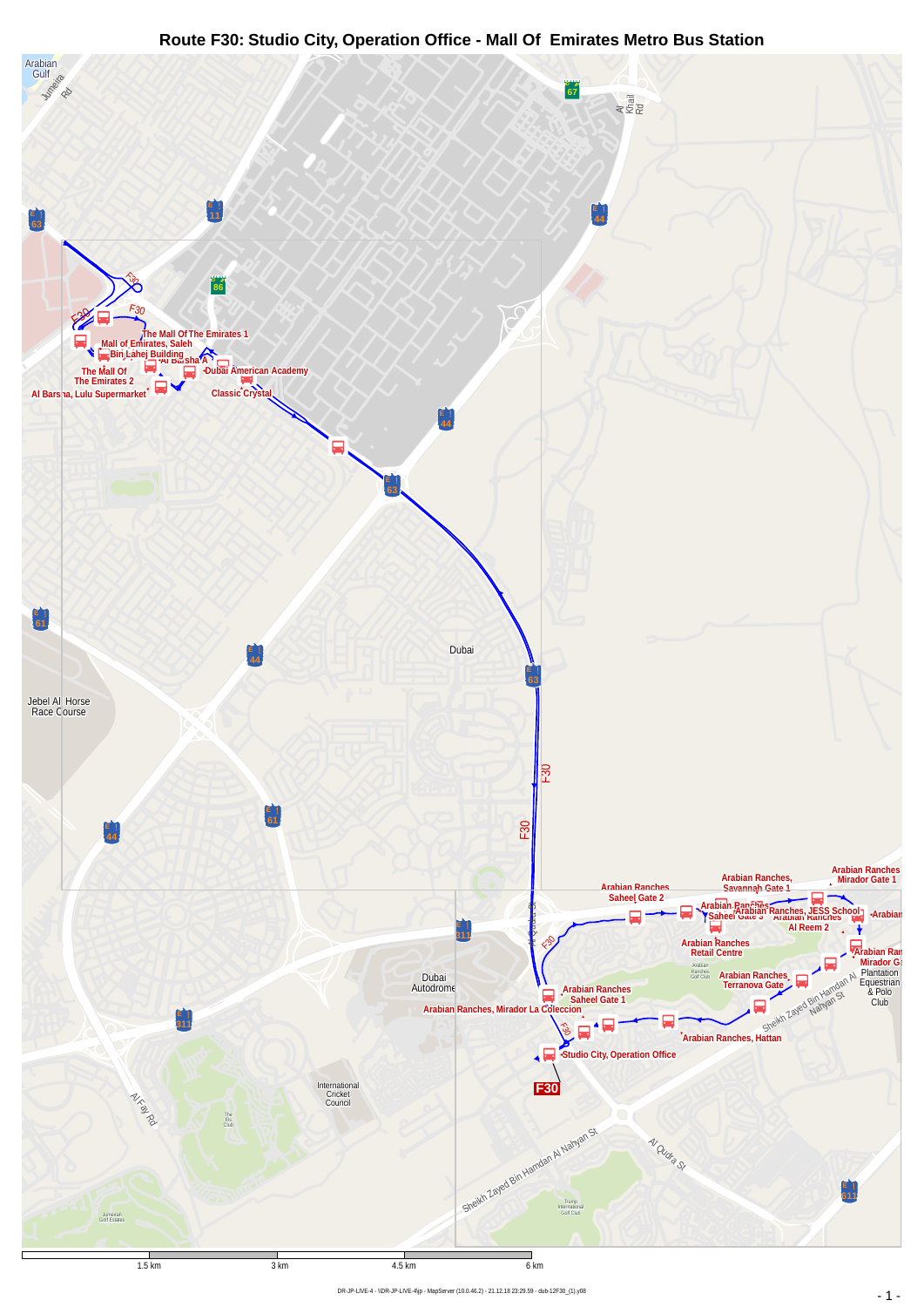## **Route F30: Studio City, Operation Office - Mall Of Emirates Metro Bus Station**

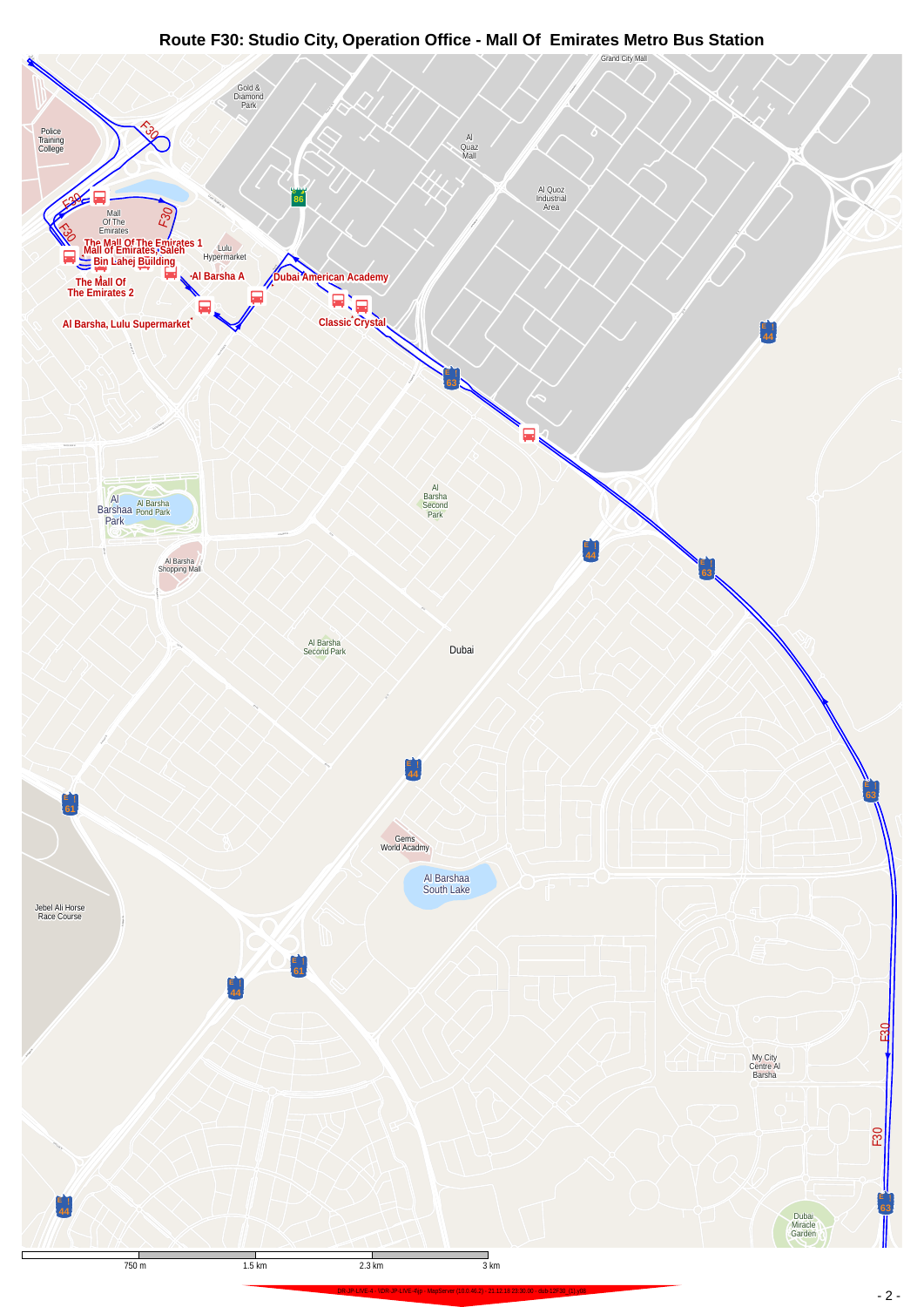## **Route F30: Studio City, Operation Office - Mall Of Emirates Metro Bus Station**

<span id="page-1-0"></span>